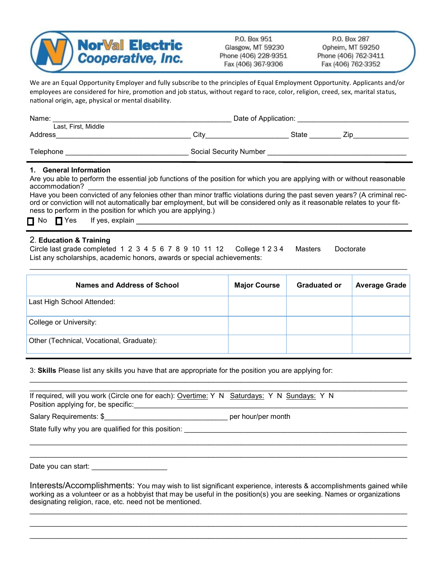

P.O. Box 951 Glasgow, MT 59230 Phone (406) 228-9351 Fax (406) 367-9306

P.O. Box 287 Opheim, MT 59250 Phone (406) 762-3411 Fax (406) 762-3352

We are an Equal Opportunity Employer and fully subscribe to the principles of Equal Employment Opportunity. Applicants and/or employees are considered for hire, promotion and job status, without regard to race, color, religion, creed, sex, marital status, national origin, age, physical or mental disability.

| Name:               | Date of Application:          |       |     |  |
|---------------------|-------------------------------|-------|-----|--|
| Last, First, Middle |                               |       |     |  |
| Address             | Citv                          | State | Zir |  |
|                     |                               |       |     |  |
| Telephone           | <b>Social Security Number</b> |       |     |  |

## **1. General Information**

Are you able to perform the essential job functions of the position for which you are applying with or without reasonable accommodation?

Have you been convicted of any felonies other than minor traffic violations during the past seven years? (A criminal record or conviction will not automatically bar employment, but will be considered only as it reasonable relates to your fitness to perform in the position for which you are applying.)

 $\mathsf{No} \ \Box \mathsf{Yes} \ \ \mathsf{If} \ \mathsf{yes}, \ \mathsf{explain}$ 

## 2. **Education & Training**

Circle last grade completed 1 2 3 4 5 6 7 8 9 10 11 12 College 1 2 3 4 Masters Doctorate List any scholarships, academic honors, awards or special achievements:

| Names and Address of School              | <b>Major Course</b> | <b>Graduated or</b> | <b>Average Grade</b> |
|------------------------------------------|---------------------|---------------------|----------------------|
| Last High School Attended:               |                     |                     |                      |
| College or University:                   |                     |                     |                      |
| Other (Technical, Vocational, Graduate): |                     |                     |                      |

 $\mathcal{L}_\mathcal{L} = \mathcal{L}_\mathcal{L} = \mathcal{L}_\mathcal{L} = \mathcal{L}_\mathcal{L} = \mathcal{L}_\mathcal{L} = \mathcal{L}_\mathcal{L} = \mathcal{L}_\mathcal{L} = \mathcal{L}_\mathcal{L} = \mathcal{L}_\mathcal{L} = \mathcal{L}_\mathcal{L} = \mathcal{L}_\mathcal{L} = \mathcal{L}_\mathcal{L} = \mathcal{L}_\mathcal{L} = \mathcal{L}_\mathcal{L} = \mathcal{L}_\mathcal{L} = \mathcal{L}_\mathcal{L} = \mathcal{L}_\mathcal{L}$ 

\_\_\_\_\_\_\_\_\_\_\_\_\_\_\_\_\_\_\_\_\_\_\_\_\_\_\_\_\_\_\_\_\_\_\_\_\_\_\_\_\_\_\_\_\_\_\_\_\_\_\_\_\_\_\_\_\_\_\_\_\_\_\_\_\_\_\_\_\_\_\_\_\_\_\_\_\_\_\_\_\_\_\_\_\_\_\_\_\_\_\_\_\_\_\_

3: **Skills** Please list any skills you have that are appropriate for the position you are applying for:

| If required, will you work (Circle one for each): Overtime: Y N Saturdays: Y N Sundays: Y N |  |
|---------------------------------------------------------------------------------------------|--|
| Position applying for, be specific:                                                         |  |

Salary Requirements: \$\_\_\_\_\_\_\_\_\_\_\_\_\_\_\_\_\_\_\_\_\_\_\_\_\_\_\_\_\_\_\_ per hour/per month

State fully why you are qualified for this position:

Date you can start: \_\_\_\_\_\_\_\_\_\_\_\_\_\_\_\_\_\_\_

Interests/Accomplishments: You may wish to list significant experience, interests & accomplishments gained while working as a volunteer or as a hobbyist that may be useful in the position(s) you are seeking. Names or organizations designating religion, race, etc. need not be mentioned.

\_\_\_\_\_\_\_\_\_\_\_\_\_\_\_\_\_\_\_\_\_\_\_\_\_\_\_\_\_\_\_\_\_\_\_\_\_\_\_\_\_\_\_\_\_\_\_\_\_\_\_\_\_\_\_\_\_\_\_\_\_\_\_\_\_\_\_\_\_\_\_\_\_\_\_\_\_\_\_\_\_\_\_\_\_\_\_\_\_\_\_\_\_\_\_ \_\_\_\_\_\_\_\_\_\_\_\_\_\_\_\_\_\_\_\_\_\_\_\_\_\_\_\_\_\_\_\_\_\_\_\_\_\_\_\_\_\_\_\_\_\_\_\_\_\_\_\_\_\_\_\_\_\_\_\_\_\_\_\_\_\_\_\_\_\_\_\_\_\_\_\_\_\_\_\_\_\_\_\_\_\_\_\_\_\_\_\_\_\_\_

 $\mathcal{L}_\mathcal{L} = \mathcal{L}_\mathcal{L} = \mathcal{L}_\mathcal{L} = \mathcal{L}_\mathcal{L} = \mathcal{L}_\mathcal{L} = \mathcal{L}_\mathcal{L} = \mathcal{L}_\mathcal{L} = \mathcal{L}_\mathcal{L} = \mathcal{L}_\mathcal{L} = \mathcal{L}_\mathcal{L} = \mathcal{L}_\mathcal{L} = \mathcal{L}_\mathcal{L} = \mathcal{L}_\mathcal{L} = \mathcal{L}_\mathcal{L} = \mathcal{L}_\mathcal{L} = \mathcal{L}_\mathcal{L} = \mathcal{L}_\mathcal{L}$  $\mathcal{L}_\mathcal{L} = \mathcal{L}_\mathcal{L} = \mathcal{L}_\mathcal{L} = \mathcal{L}_\mathcal{L} = \mathcal{L}_\mathcal{L} = \mathcal{L}_\mathcal{L} = \mathcal{L}_\mathcal{L} = \mathcal{L}_\mathcal{L} = \mathcal{L}_\mathcal{L} = \mathcal{L}_\mathcal{L} = \mathcal{L}_\mathcal{L} = \mathcal{L}_\mathcal{L} = \mathcal{L}_\mathcal{L} = \mathcal{L}_\mathcal{L} = \mathcal{L}_\mathcal{L} = \mathcal{L}_\mathcal{L} = \mathcal{L}_\mathcal{L}$